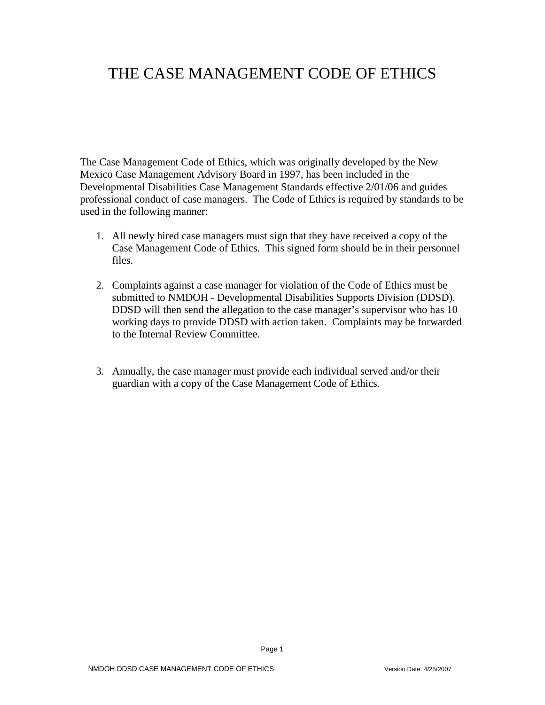# THE CASE MANAGEMENT CODE OF ETHICS

The Case Management Code of Ethics, which was originally developed by the New Mexico Case Management Advisory Board in 1997, has been included in the Developmental Disabilities Case Management Standards effective 2/01/06 and guides professional conduct of case managers. The Code of Ethics is required by standards to be used in the following manner:

- 1. All newly hired case managers must sign that they have received a copy of the Case Management Code of Ethics. This signed form should be in their personnel files.
- 2. Complaints against a case manager for violation of the Code of Ethics must be submitted to NMDOH - Developmental Disabilities Supports Division (DDSD). DDSD will then send the allegation to the case manager's supervisor who has 10 working days to provide DDSD with action taken. Complaints may be forwarded to the Internal Review Committee.
- 3. Annually, the case manager must provide each individual served and/or their guardian with a copy of the Case Management Code of Ethics.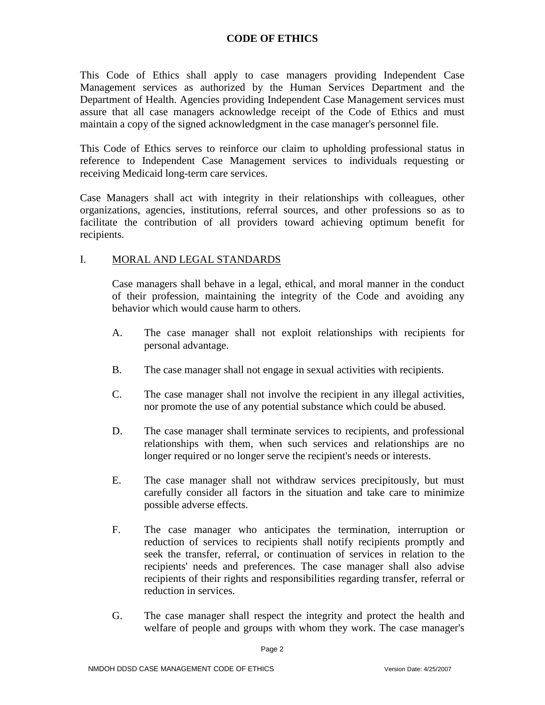This Code of Ethics shall apply to case managers providing Independent Case Management services as authorized by the Human Services Department and the Department of Health. Agencies providing Independent Case Management services must assure that all case managers acknowledge receipt of the Code of Ethics and must maintain a copy of the signed acknowledgment in the case manager's personnel file.

This Code of Ethics serves to reinforce our claim to upholding professional status in reference to Independent Case Management services to individuals requesting or receiving Medicaid long-term care services.

Case Managers shall act with integrity in their relationships with colleagues, other organizations, agencies, institutions, referral sources, and other professions so as to facilitate the contribution of all providers toward achieving optimum benefit for recipients.

# I. MORAL AND LEGAL STANDARDS

Case managers shall behave in a legal, ethical, and moral manner in the conduct of their profession, maintaining the integrity of the Code and avoiding any behavior which would cause harm to others.

- A. The case manager shall not exploit relationships with recipients for personal advantage.
- B. The case manager shall not engage in sexual activities with recipients.
- C. The case manager shall not involve the recipient in any illegal activities, nor promote the use of any potential substance which could be abused.
- D. The case manager shall terminate services to recipients, and professional relationships with them, when such services and relationships are no longer required or no longer serve the recipient's needs or interests.
- E. The case manager shall not withdraw services precipitously, but must carefully consider all factors in the situation and take care to minimize possible adverse effects.
- F. The case manager who anticipates the termination, interruption or reduction of services to recipients shall notify recipients promptly and seek the transfer, referral, or continuation of services in relation to the recipients' needs and preferences. The case manager shall also advise recipients of their rights and responsibilities regarding transfer, referral or reduction in services.
- G. The case manager shall respect the integrity and protect the health and welfare of people and groups with whom they work. The case manager's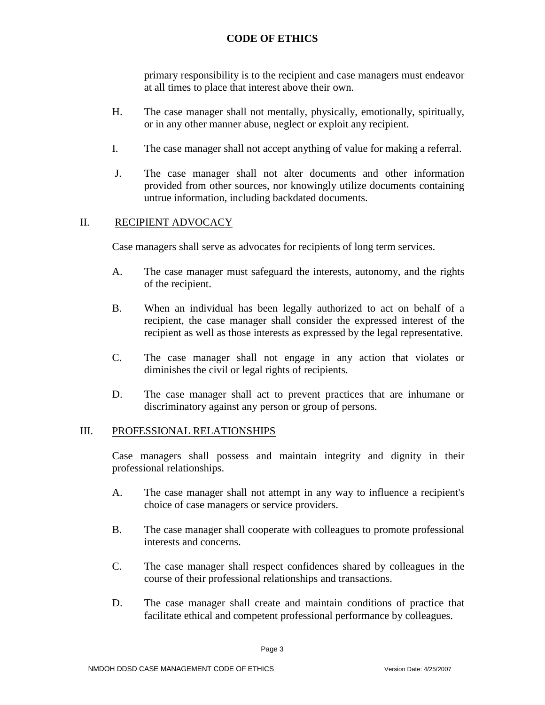primary responsibility is to the recipient and case managers must endeavor at all times to place that interest above their own.

- H. The case manager shall not mentally, physically, emotionally, spiritually, or in any other manner abuse, neglect or exploit any recipient.
- I. The case manager shall not accept anything of value for making a referral.
- J. The case manager shall not alter documents and other information provided from other sources, nor knowingly utilize documents containing untrue information, including backdated documents.

#### II. RECIPIENT ADVOCACY

Case managers shall serve as advocates for recipients of long term services.

- A. The case manager must safeguard the interests, autonomy, and the rights of the recipient.
- B. When an individual has been legally authorized to act on behalf of a recipient, the case manager shall consider the expressed interest of the recipient as well as those interests as expressed by the legal representative.
- C. The case manager shall not engage in any action that violates or diminishes the civil or legal rights of recipients.
- D. The case manager shall act to prevent practices that are inhumane or discriminatory against any person or group of persons.

#### III. PROFESSIONAL RELATIONSHIPS

Case managers shall possess and maintain integrity and dignity in their professional relationships.

- A. The case manager shall not attempt in any way to influence a recipient's choice of case managers or service providers.
- B. The case manager shall cooperate with colleagues to promote professional interests and concerns.
- C. The case manager shall respect confidences shared by colleagues in the course of their professional relationships and transactions.
- D. The case manager shall create and maintain conditions of practice that facilitate ethical and competent professional performance by colleagues.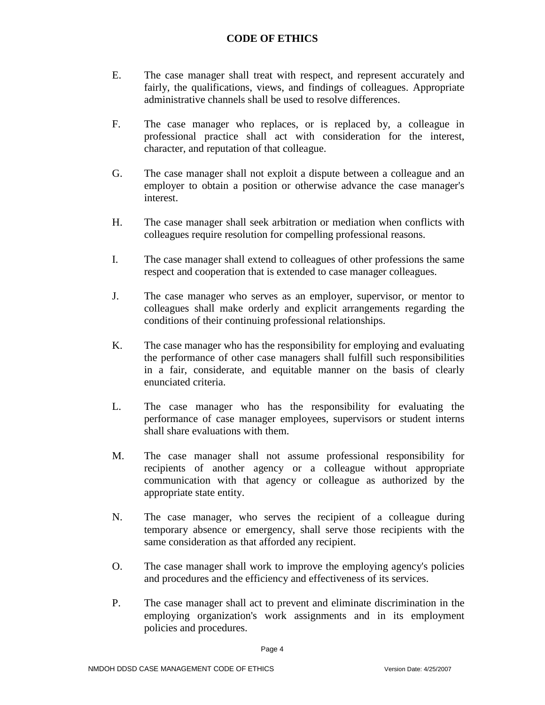- E. The case manager shall treat with respect, and represent accurately and fairly, the qualifications, views, and findings of colleagues. Appropriate administrative channels shall be used to resolve differences.
- F. The case manager who replaces, or is replaced by, a colleague in professional practice shall act with consideration for the interest, character, and reputation of that colleague.
- G. The case manager shall not exploit a dispute between a colleague and an employer to obtain a position or otherwise advance the case manager's interest.
- H. The case manager shall seek arbitration or mediation when conflicts with colleagues require resolution for compelling professional reasons.
- I. The case manager shall extend to colleagues of other professions the same respect and cooperation that is extended to case manager colleagues.
- J. The case manager who serves as an employer, supervisor, or mentor to colleagues shall make orderly and explicit arrangements regarding the conditions of their continuing professional relationships.
- K. The case manager who has the responsibility for employing and evaluating the performance of other case managers shall fulfill such responsibilities in a fair, considerate, and equitable manner on the basis of clearly enunciated criteria.
- L. The case manager who has the responsibility for evaluating the performance of case manager employees, supervisors or student interns shall share evaluations with them.
- M. The case manager shall not assume professional responsibility for recipients of another agency or a colleague without appropriate communication with that agency or colleague as authorized by the appropriate state entity.
- N. The case manager, who serves the recipient of a colleague during temporary absence or emergency, shall serve those recipients with the same consideration as that afforded any recipient.
- O. The case manager shall work to improve the employing agency's policies and procedures and the efficiency and effectiveness of its services.
- P. The case manager shall act to prevent and eliminate discrimination in the employing organization's work assignments and in its employment policies and procedures.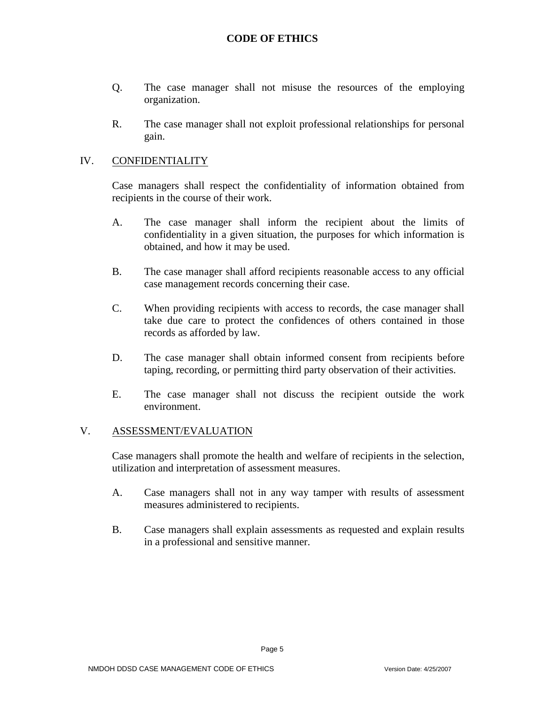- Q. The case manager shall not misuse the resources of the employing organization.
- R. The case manager shall not exploit professional relationships for personal gain.

#### IV. CONFIDENTIALITY

Case managers shall respect the confidentiality of information obtained from recipients in the course of their work.

- A. The case manager shall inform the recipient about the limits of confidentiality in a given situation, the purposes for which information is obtained, and how it may be used.
- B. The case manager shall afford recipients reasonable access to any official case management records concerning their case.
- C. When providing recipients with access to records, the case manager shall take due care to protect the confidences of others contained in those records as afforded by law.
- D. The case manager shall obtain informed consent from recipients before taping, recording, or permitting third party observation of their activities.
- E. The case manager shall not discuss the recipient outside the work environment.

#### V. ASSESSMENT/EVALUATION

Case managers shall promote the health and welfare of recipients in the selection, utilization and interpretation of assessment measures.

- A. Case managers shall not in any way tamper with results of assessment measures administered to recipients.
- B. Case managers shall explain assessments as requested and explain results in a professional and sensitive manner.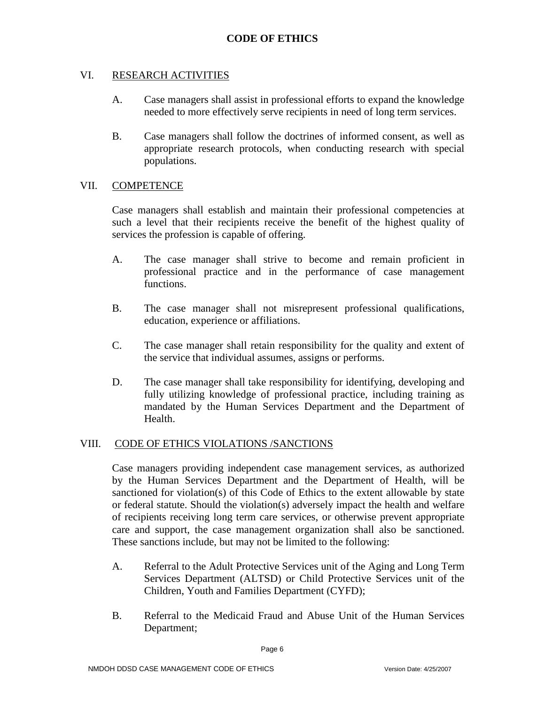# VI. RESEARCH ACTIVITIES

- A. Case managers shall assist in professional efforts to expand the knowledge needed to more effectively serve recipients in need of long term services.
- B. Case managers shall follow the doctrines of informed consent, as well as appropriate research protocols, when conducting research with special populations.

#### VII. COMPETENCE

Case managers shall establish and maintain their professional competencies at such a level that their recipients receive the benefit of the highest quality of services the profession is capable of offering.

- A. The case manager shall strive to become and remain proficient in professional practice and in the performance of case management functions.
- B. The case manager shall not misrepresent professional qualifications, education, experience or affiliations.
- C. The case manager shall retain responsibility for the quality and extent of the service that individual assumes, assigns or performs.
- D. The case manager shall take responsibility for identifying, developing and fully utilizing knowledge of professional practice, including training as mandated by the Human Services Department and the Department of Health.

#### VIII. CODE OF ETHICS VIOLATIONS /SANCTIONS

Case managers providing independent case management services, as authorized by the Human Services Department and the Department of Health, will be sanctioned for violation(s) of this Code of Ethics to the extent allowable by state or federal statute. Should the violation(s) adversely impact the health and welfare of recipients receiving long term care services, or otherwise prevent appropriate care and support, the case management organization shall also be sanctioned. These sanctions include, but may not be limited to the following:

- A. Referral to the Adult Protective Services unit of the Aging and Long Term Services Department (ALTSD) or Child Protective Services unit of the Children, Youth and Families Department (CYFD);
- B. Referral to the Medicaid Fraud and Abuse Unit of the Human Services Department;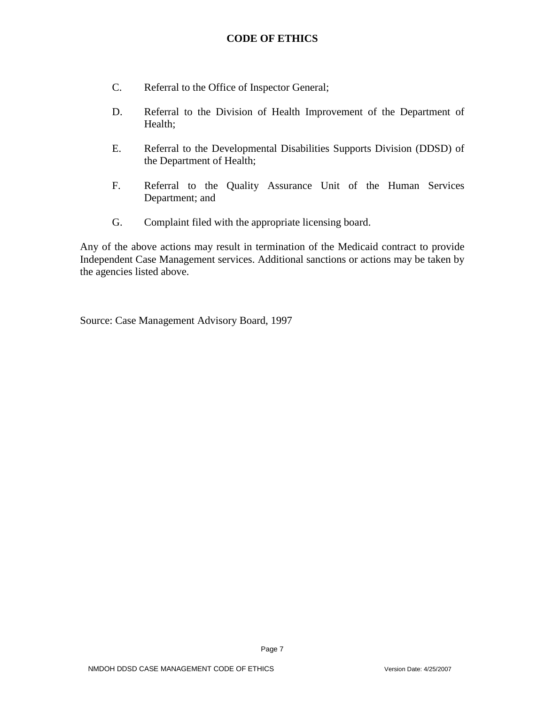- C. Referral to the Office of Inspector General;
- D. Referral to the Division of Health Improvement of the Department of Health;
- E. Referral to the Developmental Disabilities Supports Division (DDSD) of the Department of Health;
- F. Referral to the Quality Assurance Unit of the Human Services Department; and
- G. Complaint filed with the appropriate licensing board.

Any of the above actions may result in termination of the Medicaid contract to provide Independent Case Management services. Additional sanctions or actions may be taken by the agencies listed above.

Source: Case Management Advisory Board, 1997